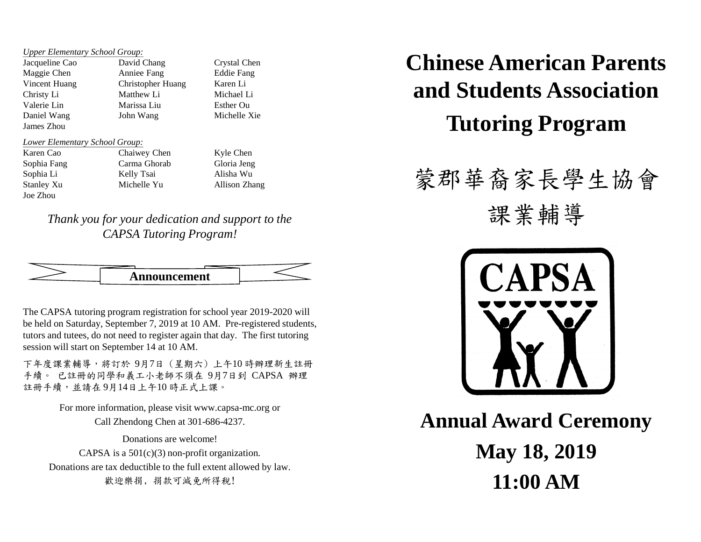*Upper Elementary School Group:*

Jacqueline Cao David Chang Crystal Chen Maggie Chen Anniee Fang Eddie Fang Vincent Huang Christopher Huang Karen Li Christy Li Matthew Li Michael Li Valerie Lin Marissa Liu Esther Ou Daniel Wang John Wang Michelle Xie James Zhou

#### *Lower Elementary School Group:*

Joe Zhou

Karen Cao Chaiwey Chen Kyle Chen Sophia Fang Carma Ghorab Gloria Jeng Sophia Li Kelly Tsai Alisha Wu Stanley Xu Michelle Yu Allison Zhang

*Thank you for your dedication and support to the CAPSA Tutoring Program!*



The CAPSA tutoring program registration for school year 2019-2020 will be held on Saturday, September 7, 2019 at 10 AM. Pre-registered students, tutors and tutees, do not need to register again that day. The first tutoring session will start on September 14 at 10 AM.

下年度課業輔導,將訂於 9月7日 (星期六) 上午10 時辦理新生註冊 手續。 已註冊的同學和義工小老師不須在 9月7日到 CAPSA 辦理 註冊手續,並請在 9月14日上午10 時正式上課。

> For more information, please visit www.capsa-mc.org or Call Zhendong Chen at 301-686-4237.

Donations are welcome! CAPSA is a  $501(c)(3)$  non-profit organization. Donations are tax deductible to the full extent allowed by law. 歡迎樂捐, 捐款可減免所得稅!

**Chinese American Parents and Students Association Tutoring Program**

# 蒙郡華裔家長學生協會

課業輔導



**Annual Award Ceremony May 18, 2019 11:00 AM**